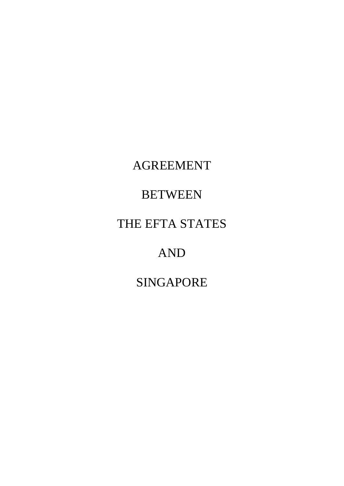AGREEMENT

# **BETWEEN**

# THE EFTA STATES

# AND

# SINGAPORE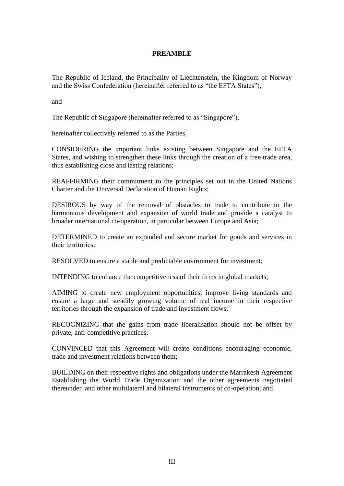# **PREAMBLE**

The Republic of Iceland, the Principality of Liechtenstein, the Kingdom of Norway and the Swiss Confederation (hereinafter referred to as "the EFTA States"),

and

The Republic of Singapore (hereinafter referred to as "Singapore"),

hereinafter collectively referred to as the Parties,

CONSIDERING the important links existing between Singapore and the EFTA States, and wishing to strengthen these links through the creation of a free trade area, thus establishing close and lasting relations;

REAFFIRMING their commitment to the principles set out in the United Nations Charter and the Universal Declaration of Human Rights;

DESIROUS by way of the removal of obstacles to trade to contribute to the harmonious development and expansion of world trade and provide a catalyst to broader international co-operation, in particular between Europe and Asia;

DETERMINED to create an expanded and secure market for goods and services in their territories;

RESOLVED to ensure a stable and predictable environment for investment;

INTENDING to enhance the competitiveness of their firms in global markets;

AIMING to create new employment opportunities, improve living standards and ensure a large and steadily growing volume of real income in their respective territories through the expansion of trade and investment flows;

RECOGNIZING that the gains from trade liberalisation should not be offset by private, anti-competitive practices;

CONVINCED that this Agreement will create conditions encouraging economic, trade and investment relations between them;

BUILDING on their respective rights and obligations under the Marrakesh Agreement Establishing the World Trade Organization and the other agreements negotiated thereunder and other multilateral and bilateral instruments of co-operation; and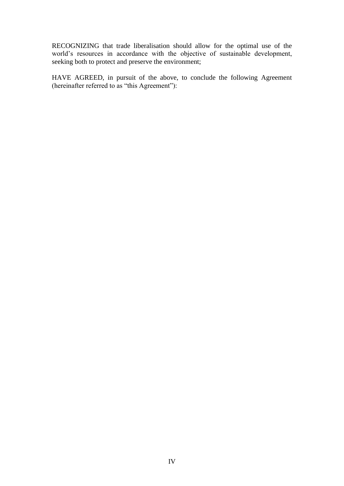RECOGNIZING that trade liberalisation should allow for the optimal use of the world's resources in accordance with the objective of sustainable development, seeking both to protect and preserve the environment;

HAVE AGREED, in pursuit of the above, to conclude the following Agreement (hereinafter referred to as "this Agreement"):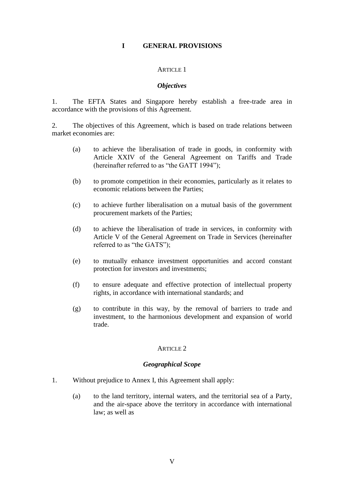# **I GENERAL PROVISIONS**

## ARTICLE 1

### *Objectives*

1. The EFTA States and Singapore hereby establish a free-trade area in accordance with the provisions of this Agreement.

2. The objectives of this Agreement, which is based on trade relations between market economies are:

- (a) to achieve the liberalisation of trade in goods, in conformity with Article XXIV of the General Agreement on Tariffs and Trade (hereinafter referred to as "the GATT 1994");
- (b) to promote competition in their economies, particularly as it relates to economic relations between the Parties;
- (c) to achieve further liberalisation on a mutual basis of the government procurement markets of the Parties;
- (d) to achieve the liberalisation of trade in services, in conformity with Article V of the General Agreement on Trade in Services (hereinafter referred to as "the GATS");
- (e) to mutually enhance investment opportunities and accord constant protection for investors and investments;
- (f) to ensure adequate and effective protection of intellectual property rights, in accordance with international standards; and
- (g) to contribute in this way, by the removal of barriers to trade and investment, to the harmonious development and expansion of world trade.

## ARTICLE 2

#### *Geographical Scope*

- 1. Without prejudice to Annex I, this Agreement shall apply:
	- (a) to the land territory, internal waters, and the territorial sea of a Party, and the air-space above the territory in accordance with international law; as well as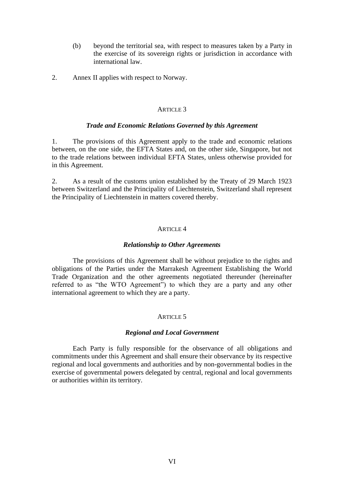- (b) beyond the territorial sea, with respect to measures taken by a Party in the exercise of its sovereign rights or jurisdiction in accordance with international law.
- 2. Annex II applies with respect to Norway.

#### ARTICLE<sub>3</sub>

#### *Trade and Economic Relations Governed by this Agreement*

1. The provisions of this Agreement apply to the trade and economic relations between, on the one side, the EFTA States and, on the other side, Singapore, but not to the trade relations between individual EFTA States, unless otherwise provided for in this Agreement.

2. As a result of the customs union established by the Treaty of 29 March 1923 between Switzerland and the Principality of Liechtenstein, Switzerland shall represent the Principality of Liechtenstein in matters covered thereby.

#### ARTICLE 4

#### *Relationship to Other Agreements*

The provisions of this Agreement shall be without prejudice to the rights and obligations of the Parties under the Marrakesh Agreement Establishing the World Trade Organization and the other agreements negotiated thereunder (hereinafter referred to as "the WTO Agreement") to which they are a party and any other international agreement to which they are a party.

## ARTICLE 5

#### *Regional and Local Government*

Each Party is fully responsible for the observance of all obligations and commitments under this Agreement and shall ensure their observance by its respective regional and local governments and authorities and by non-governmental bodies in the exercise of governmental powers delegated by central, regional and local governments or authorities within its territory.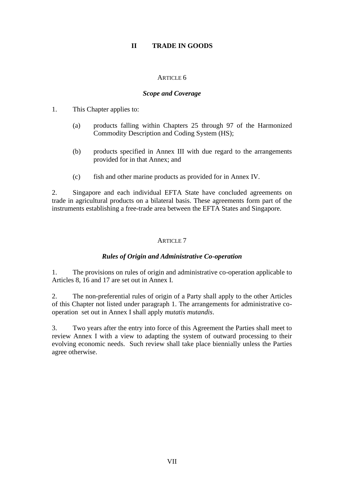# **II TRADE IN GOODS**

# ARTICLE 6

## *Scope and Coverage*

- 1. This Chapter applies to:
	- (a) products falling within Chapters 25 through 97 of the Harmonized Commodity Description and Coding System (HS);
	- (b) products specified in Annex III with due regard to the arrangements provided for in that Annex; and
	- (c) fish and other marine products as provided for in Annex IV.

2. Singapore and each individual EFTA State have concluded agreements on trade in agricultural products on a bilateral basis. These agreements form part of the instruments establishing a free-trade area between the EFTA States and Singapore.

# ARTICLE 7

# *Rules of Origin and Administrative Co-operation*

1. The provisions on rules of origin and administrative co-operation applicable to Articles 8, 16 and 17 are set out in Annex I.

2. The non-preferential rules of origin of a Party shall apply to the other Articles of this Chapter not listed under paragraph 1. The arrangements for administrative cooperation set out in Annex I shall apply *mutatis mutandis*.

3. Two years after the entry into force of this Agreement the Parties shall meet to review Annex I with a view to adapting the system of outward processing to their evolving economic needs. Such review shall take place biennially unless the Parties agree otherwise.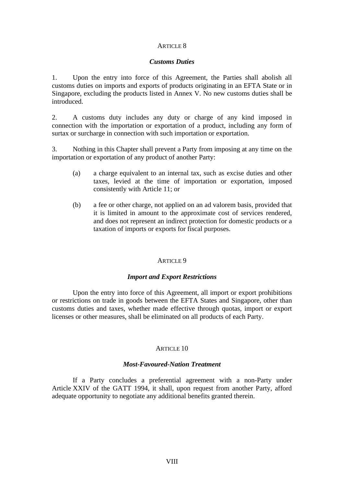#### *Customs Duties*

1. Upon the entry into force of this Agreement, the Parties shall abolish all customs duties on imports and exports of products originating in an EFTA State or in Singapore, excluding the products listed in Annex V. No new customs duties shall be introduced.

2. A customs duty includes any duty or charge of any kind imposed in connection with the importation or exportation of a product, including any form of surtax or surcharge in connection with such importation or exportation.

3. Nothing in this Chapter shall prevent a Party from imposing at any time on the importation or exportation of any product of another Party:

- (a) a charge equivalent to an internal tax, such as excise duties and other taxes, levied at the time of importation or exportation, imposed consistently with Article 11; or
- (b) a fee or other charge, not applied on an ad valorem basis, provided that it is limited in amount to the approximate cost of services rendered, and does not represent an indirect protection for domestic products or a taxation of imports or exports for fiscal purposes.

## ARTICLE 9

## *Import and Export Restrictions*

Upon the entry into force of this Agreement, all import or export prohibitions or restrictions on trade in goods between the EFTA States and Singapore, other than customs duties and taxes, whether made effective through quotas, import or export licenses or other measures, shall be eliminated on all products of each Party.

## ARTICLE 10

#### *Most-Favoured-Nation Treatment*

If a Party concludes a preferential agreement with a non-Party under Article XXIV of the GATT 1994, it shall, upon request from another Party, afford adequate opportunity to negotiate any additional benefits granted therein.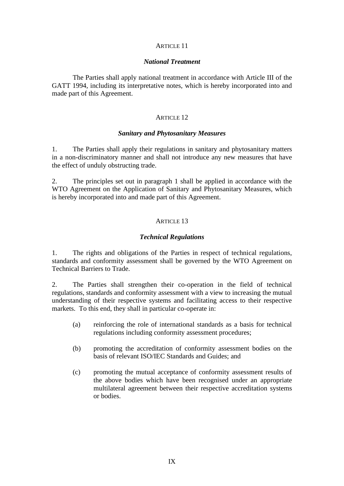#### *National Treatment*

The Parties shall apply national treatment in accordance with Article III of the GATT 1994, including its interpretative notes, which is hereby incorporated into and made part of this Agreement.

# ARTICLE 12

#### *Sanitary and Phytosanitary Measures*

1. The Parties shall apply their regulations in sanitary and phytosanitary matters in a non-discriminatory manner and shall not introduce any new measures that have the effect of unduly obstructing trade.

2. The principles set out in paragraph 1 shall be applied in accordance with the WTO Agreement on the Application of Sanitary and Phytosanitary Measures, which is hereby incorporated into and made part of this Agreement.

## ARTICLE 13

#### *Technical Regulations*

1. The rights and obligations of the Parties in respect of technical regulations, standards and conformity assessment shall be governed by the WTO Agreement on Technical Barriers to Trade.

2. The Parties shall strengthen their co-operation in the field of technical regulations, standards and conformity assessment with a view to increasing the mutual understanding of their respective systems and facilitating access to their respective markets. To this end, they shall in particular co-operate in:

- (a) reinforcing the role of international standards as a basis for technical regulations including conformity assessment procedures;
- (b) promoting the accreditation of conformity assessment bodies on the basis of relevant ISO/IEC Standards and Guides; and
- (c) promoting the mutual acceptance of conformity assessment results of the above bodies which have been recognised under an appropriate multilateral agreement between their respective accreditation systems or bodies.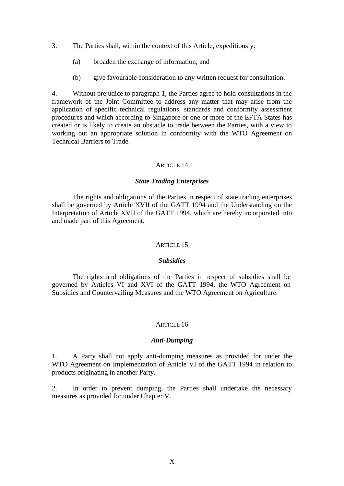- 3. The Parties shall, within the context of this Article, expeditiously:
	- (a) broaden the exchange of information; and
	- (b) give favourable consideration to any written request for consultation.

4. Without prejudice to paragraph 1, the Parties agree to hold consultations in the framework of the Joint Committee to address any matter that may arise from the application of specific technical regulations, standards and conformity assessment procedures and which according to Singapore or one or more of the EFTA States has created or is likely to create an obstacle to trade between the Parties, with a view to working out an appropriate solution in conformity with the WTO Agreement on Technical Barriers to Trade.

#### ARTICLE 14

#### *State Trading Enterprises*

The rights and obligations of the Parties in respect of state trading enterprises shall be governed by Article XVII of the GATT 1994 and the Understanding on the Interpretation of Article XVII of the GATT 1994, which are hereby incorporated into and made part of this Agreement.

#### ARTICLE 15

#### *Subsidies*

The rights and obligations of the Parties in respect of subsidies shall be governed by Articles VI and XVI of the GATT 1994, the WTO Agreement on Subsidies and Countervailing Measures and the WTO Agreement on Agriculture.

#### ARTICLE 16

#### *Anti-Dumping*

1. A Party shall not apply anti-dumping measures as provided for under the WTO Agreement on Implementation of Article VI of the GATT 1994 in relation to products originating in another Party.

2. In order to prevent dumping, the Parties shall undertake the necessary measures as provided for under Chapter V.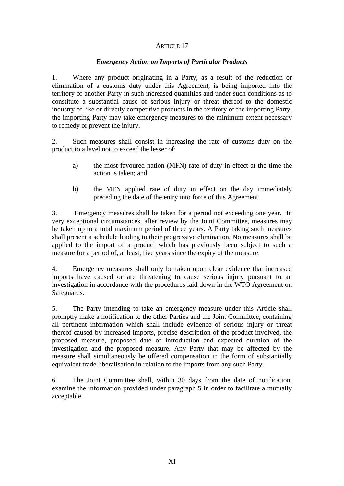# *Emergency Action on Imports of Particular Products*

1. Where any product originating in a Party, as a result of the reduction or elimination of a customs duty under this Agreement, is being imported into the territory of another Party in such increased quantities and under such conditions as to constitute a substantial cause of serious injury or threat thereof to the domestic industry of like or directly competitive products in the territory of the importing Party, the importing Party may take emergency measures to the minimum extent necessary to remedy or prevent the injury.

2. Such measures shall consist in increasing the rate of customs duty on the product to a level not to exceed the lesser of:

- a) the most-favoured nation (MFN) rate of duty in effect at the time the action is taken; and
- b) the MFN applied rate of duty in effect on the day immediately preceding the date of the entry into force of this Agreement.

3. Emergency measures shall be taken for a period not exceeding one year. In very exceptional circumstances, after review by the Joint Committee, measures may be taken up to a total maximum period of three years. A Party taking such measures shall present a schedule leading to their progressive elimination. No measures shall be applied to the import of a product which has previously been subject to such a measure for a period of, at least, five years since the expiry of the measure.

4. Emergency measures shall only be taken upon clear evidence that increased imports have caused or are threatening to cause serious injury pursuant to an investigation in accordance with the procedures laid down in the WTO Agreement on Safeguards.

5. The Party intending to take an emergency measure under this Article shall promptly make a notification to the other Parties and the Joint Committee, containing all pertinent information which shall include evidence of serious injury or threat thereof caused by increased imports, precise description of the product involved, the proposed measure, proposed date of introduction and expected duration of the investigation and the proposed measure. Any Party that may be affected by the measure shall simultaneously be offered compensation in the form of substantially equivalent trade liberalisation in relation to the imports from any such Party.

6. The Joint Committee shall, within 30 days from the date of notification, examine the information provided under paragraph 5 in order to facilitate a mutually acceptable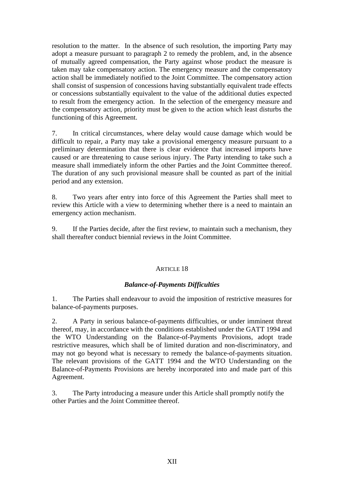resolution to the matter. In the absence of such resolution, the importing Party may adopt a measure pursuant to paragraph 2 to remedy the problem, and, in the absence of mutually agreed compensation, the Party against whose product the measure is taken may take compensatory action. The emergency measure and the compensatory action shall be immediately notified to the Joint Committee. The compensatory action shall consist of suspension of concessions having substantially equivalent trade effects or concessions substantially equivalent to the value of the additional duties expected to result from the emergency action. In the selection of the emergency measure and the compensatory action, priority must be given to the action which least disturbs the functioning of this Agreement.

7. In critical circumstances, where delay would cause damage which would be difficult to repair, a Party may take a provisional emergency measure pursuant to a preliminary determination that there is clear evidence that increased imports have caused or are threatening to cause serious injury. The Party intending to take such a measure shall immediately inform the other Parties and the Joint Committee thereof. The duration of any such provisional measure shall be counted as part of the initial period and any extension.

8. Two years after entry into force of this Agreement the Parties shall meet to review this Article with a view to determining whether there is a need to maintain an emergency action mechanism.

9. If the Parties decide, after the first review, to maintain such a mechanism, they shall thereafter conduct biennial reviews in the Joint Committee.

## ARTICLE 18

# *Balance-of-Payments Difficulties*

1. The Parties shall endeavour to avoid the imposition of restrictive measures for balance-of-payments purposes.

2. A Party in serious balance-of-payments difficulties, or under imminent threat thereof, may, in accordance with the conditions established under the GATT 1994 and the WTO Understanding on the Balance-of-Payments Provisions, adopt trade restrictive measures, which shall be of limited duration and non-discriminatory, and may not go beyond what is necessary to remedy the balance-of-payments situation. The relevant provisions of the GATT 1994 and the WTO Understanding on the Balance-of-Payments Provisions are hereby incorporated into and made part of this Agreement.

3. The Party introducing a measure under this Article shall promptly notify the other Parties and the Joint Committee thereof.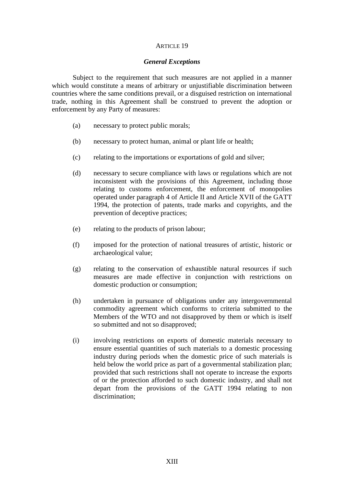#### *General Exceptions*

Subject to the requirement that such measures are not applied in a manner which would constitute a means of arbitrary or unjustifiable discrimination between countries where the same conditions prevail, or a disguised restriction on international trade, nothing in this Agreement shall be construed to prevent the adoption or enforcement by any Party of measures:

- (a) necessary to protect public morals;
- (b) necessary to protect human, animal or plant life or health;
- (c) relating to the importations or exportations of gold and silver;
- (d) necessary to secure compliance with laws or regulations which are not inconsistent with the provisions of this Agreement, including those relating to customs enforcement, the enforcement of monopolies operated under paragraph 4 of Article II and Article XVII of the GATT 1994, the protection of patents, trade marks and copyrights, and the prevention of deceptive practices;
- (e) relating to the products of prison labour;
- (f) imposed for the protection of national treasures of artistic, historic or archaeological value;
- (g) relating to the conservation of exhaustible natural resources if such measures are made effective in conjunction with restrictions on domestic production or consumption;
- (h) undertaken in pursuance of obligations under any intergovernmental commodity agreement which conforms to criteria submitted to the Members of the WTO and not disapproved by them or which is itself so submitted and not so disapproved;
- (i) involving restrictions on exports of domestic materials necessary to ensure essential quantities of such materials to a domestic processing industry during periods when the domestic price of such materials is held below the world price as part of a governmental stabilization plan; provided that such restrictions shall not operate to increase the exports of or the protection afforded to such domestic industry, and shall not depart from the provisions of the GATT 1994 relating to non discrimination: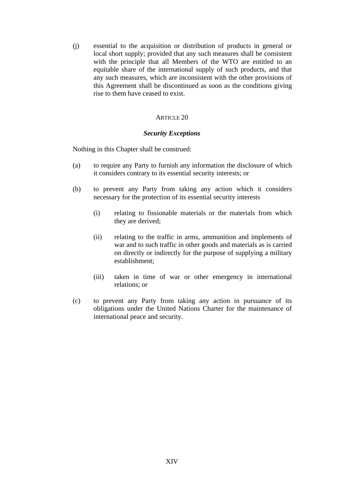(j) essential to the acquisition or distribution of products in general or local short supply; provided that any such measures shall be consistent with the principle that all Members of the WTO are entitled to an equitable share of the international supply of such products, and that any such measures, which are inconsistent with the other provisions of this Agreement shall be discontinued as soon as the conditions giving rise to them have ceased to exist.

# ARTICLE 20

## *Security Exceptions*

Nothing in this Chapter shall be construed:

- (a) to require any Party to furnish any information the disclosure of which it considers contrary to its essential security interests; or
- (b) to prevent any Party from taking any action which it considers necessary for the protection of its essential security interests
	- (i) relating to fissionable materials or the materials from which they are derived;
	- (ii) relating to the traffic in arms, ammunition and implements of war and to such traffic in other goods and materials as is carried on directly or indirectly for the purpose of supplying a military establishment;
	- (iii) taken in time of war or other emergency in international relations; or
- (c) to prevent any Party from taking any action in pursuance of its obligations under the United Nations Charter for the maintenance of international peace and security.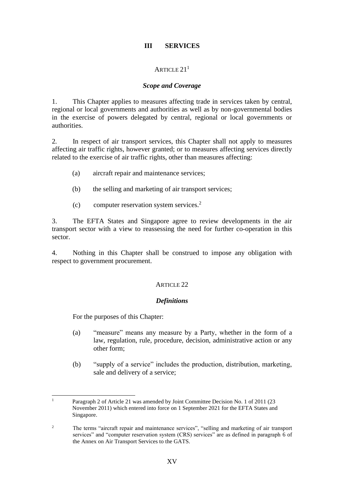# **III SERVICES**

# ARTICLE  $21<sup>1</sup>$

## *Scope and Coverage*

1. This Chapter applies to measures affecting trade in services taken by central, regional or local governments and authorities as well as by non-governmental bodies in the exercise of powers delegated by central, regional or local governments or authorities.

2*.* In respect of air transport services, this Chapter shall not apply to measures affecting air traffic rights, however granted; or to measures affecting services directly related to the exercise of air traffic rights, other than measures affecting:

- (a) aircraft repair and maintenance services;
- (b) the selling and marketing of air transport services;
- (c) computer reservation system services. 2

3. The EFTA States and Singapore agree to review developments in the air transport sector with a view to reassessing the need for further co-operation in this sector.

4. Nothing in this Chapter shall be construed to impose any obligation with respect to government procurement.

## ARTICLE 22

## *Definitions*

For the purposes of this Chapter:

- (a) "measure" means any measure by a Party, whether in the form of a law, regulation, rule, procedure, decision, administrative action or any other form;
- (b) "supply of a service" includes the production, distribution, marketing, sale and delivery of a service;

<sup>&</sup>lt;sup>1</sup> Paragraph 2 of Article 21 was amended by Joint Committee Decision No. 1 of 2011 (23 November 2011) which entered into force on 1 September 2021 for the EFTA States and Singapore.

<sup>&</sup>lt;sup>2</sup> The terms "aircraft repair and maintenance services", "selling and marketing of air transport services" and "computer reservation system (CRS) services" are as defined in paragraph 6 of the Annex on Air Transport Services to the GATS.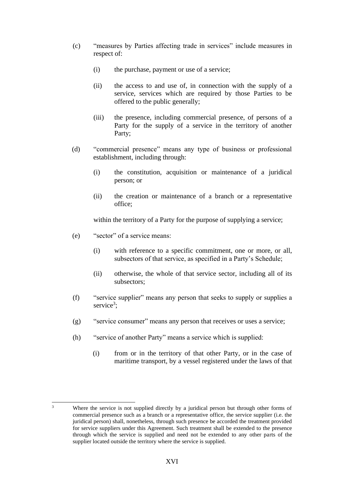- (c) "measures by Parties affecting trade in services" include measures in respect of:
	- (i) the purchase, payment or use of a service;
	- (ii) the access to and use of, in connection with the supply of a service, services which are required by those Parties to be offered to the public generally;
	- (iii) the presence, including commercial presence, of persons of a Party for the supply of a service in the territory of another Party;
- (d) "commercial presence" means any type of business or professional establishment, including through:
	- (i) the constitution, acquisition or maintenance of a juridical person; or
	- (ii) the creation or maintenance of a branch or a representative office;

within the territory of a Party for the purpose of supplying a service;

- (e) "sector" of a service means:
	- (i) with reference to a specific commitment, one or more, or all, subsectors of that service, as specified in a Party's Schedule;
	- (ii) otherwise, the whole of that service sector, including all of its subsectors;
- (f) "service supplier" means any person that seeks to supply or supplies a service<sup>3</sup>;
- (g) "service consumer" means any person that receives or uses a service;
- (h) "service of another Party" means a service which is supplied:
	- (i) from or in the territory of that other Party, or in the case of maritime transport, by a vessel registered under the laws of that

<sup>&</sup>lt;sup>3</sup> Where the service is not supplied directly by a juridical person but through other forms of commercial presence such as a branch or a representative office, the service supplier (i.e. the juridical person) shall, nonetheless, through such presence be accorded the treatment provided for service suppliers under this Agreement. Such treatment shall be extended to the presence through which the service is supplied and need not be extended to any other parts of the supplier located outside the territory where the service is supplied.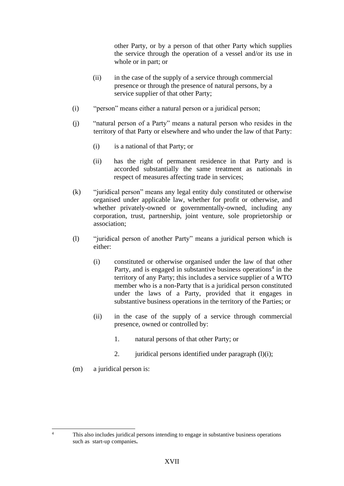other Party, or by a person of that other Party which supplies the service through the operation of a vessel and/or its use in whole or in part; or

- (ii) in the case of the supply of a service through commercial presence or through the presence of natural persons, by a service supplier of that other Party:
- (i) "person" means either a natural person or a juridical person;
- (j) "natural person of a Party" means a natural person who resides in the territory of that Party or elsewhere and who under the law of that Party:
	- (i) is a national of that Party; or
	- (ii) has the right of permanent residence in that Party and is accorded substantially the same treatment as nationals in respect of measures affecting trade in services;
- (k) "juridical person" means any legal entity duly constituted or otherwise organised under applicable law, whether for profit or otherwise, and whether privately-owned or governmentally-owned, including any corporation, trust, partnership, joint venture, sole proprietorship or association;
- (l) "juridical person of another Party" means a juridical person which is either:
	- (i) constituted or otherwise organised under the law of that other Party, and is engaged in substantive business operations<sup>4</sup> in the territory of any Party; this includes a service supplier of a WTO member who is a non-Party that is a juridical person constituted under the laws of a Party, provided that it engages in substantive business operations in the territory of the Parties; or
	- (ii) in the case of the supply of a service through commercial presence, owned or controlled by:
		- 1. natural persons of that other Party; or
		- 2. juridical persons identified under paragraph  $(l)(i)$ ;
- (m) a juridical person is:

<sup>&</sup>lt;sup>4</sup> This also includes juridical persons intending to engage in substantive business operations such as start-up companies**.**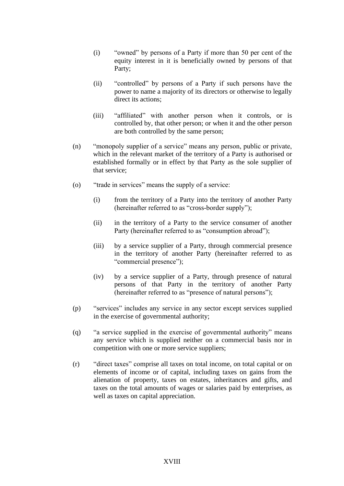- (i) "owned" by persons of a Party if more than 50 per cent of the equity interest in it is beneficially owned by persons of that Party;
- (ii) "controlled" by persons of a Party if such persons have the power to name a majority of its directors or otherwise to legally direct its actions;
- (iii) "affiliated" with another person when it controls, or is controlled by, that other person; or when it and the other person are both controlled by the same person;
- (n) "monopoly supplier of a service" means any person, public or private, which in the relevant market of the territory of a Party is authorised or established formally or in effect by that Party as the sole supplier of that service;
- (o) "trade in services" means the supply of a service:
	- (i) from the territory of a Party into the territory of another Party (hereinafter referred to as "cross-border supply");
	- (ii) in the territory of a Party to the service consumer of another Party (hereinafter referred to as "consumption abroad");
	- (iii) by a service supplier of a Party, through commercial presence in the territory of another Party (hereinafter referred to as "commercial presence");
	- (iv) by a service supplier of a Party, through presence of natural persons of that Party in the territory of another Party (hereinafter referred to as "presence of natural persons");
- (p) "services" includes any service in any sector except services supplied in the exercise of governmental authority;
- (q) "a service supplied in the exercise of governmental authority" means any service which is supplied neither on a commercial basis nor in competition with one or more service suppliers;
- (r) "direct taxes" comprise all taxes on total income, on total capital or on elements of income or of capital, including taxes on gains from the alienation of property, taxes on estates, inheritances and gifts, and taxes on the total amounts of wages or salaries paid by enterprises, as well as taxes on capital appreciation.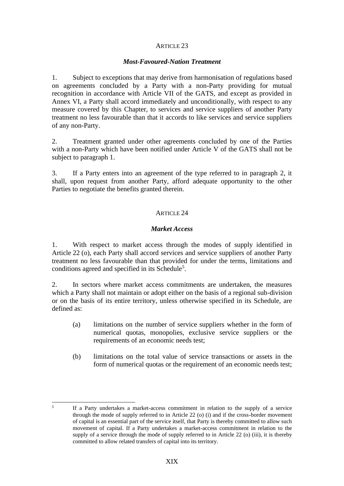## *Most-Favoured-Nation Treatment*

1. Subject to exceptions that may derive from harmonisation of regulations based on agreements concluded by a Party with a non-Party providing for mutual recognition in accordance with Article VII of the GATS, and except as provided in Annex VI, a Party shall accord immediately and unconditionally, with respect to any measure covered by this Chapter, to services and service suppliers of another Party treatment no less favourable than that it accords to like services and service suppliers of any non-Party.

2. Treatment granted under other agreements concluded by one of the Parties with a non-Party which have been notified under Article V of the GATS shall not be subject to paragraph 1.

3. If a Party enters into an agreement of the type referred to in paragraph 2, it shall, upon request from another Party, afford adequate opportunity to the other Parties to negotiate the benefits granted therein.

# ARTICLE 24

# *Market Access*

1. With respect to market access through the modes of supply identified in Article 22 (o), each Party shall accord services and service suppliers of another Party treatment no less favourable than that provided for under the terms, limitations and conditions agreed and specified in its Schedule<sup>5</sup>.

2. In sectors where market access commitments are undertaken, the measures which a Party shall not maintain or adopt either on the basis of a regional sub-division or on the basis of its entire territory, unless otherwise specified in its Schedule, are defined as:

- (a) limitations on the number of service suppliers whether in the form of numerical quotas, monopolies, exclusive service suppliers or the requirements of an economic needs test;
- (b) limitations on the total value of service transactions or assets in the form of numerical quotas or the requirement of an economic needs test;

<sup>5</sup> If a Party undertakes a market-access commitment in relation to the supply of a service through the mode of supply referred to in Article 22 (o) (i) and if the cross-border movement of capital is an essential part of the service itself, that Party is thereby committed to allow such movement of capital. If a Party undertakes a market-access commitment in relation to the supply of a service through the mode of supply referred to in Article 22 (o) (iii), it is thereby committed to allow related transfers of capital into its territory.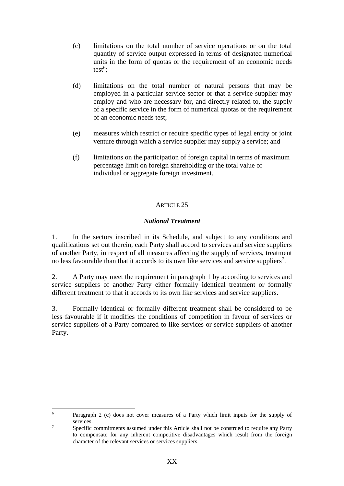- (c) limitations on the total number of service operations or on the total quantity of service output expressed in terms of designated numerical units in the form of quotas or the requirement of an economic needs  $test^6$ ;
- (d) limitations on the total number of natural persons that may be employed in a particular service sector or that a service supplier may employ and who are necessary for, and directly related to, the supply of a specific service in the form of numerical quotas or the requirement of an economic needs test;
- (e) measures which restrict or require specific types of legal entity or joint venture through which a service supplier may supply a service; and
- (f) limitations on the participation of foreign capital in terms of maximum percentage limit on foreign shareholding or the total value of individual or aggregate foreign investment.

# *National Treatment*

1. In the sectors inscribed in its Schedule, and subject to any conditions and qualifications set out therein, each Party shall accord to services and service suppliers of another Party, in respect of all measures affecting the supply of services, treatment no less favourable than that it accords to its own like services and service suppliers<sup>7</sup>.

2. A Party may meet the requirement in paragraph 1 by according to services and service suppliers of another Party either formally identical treatment or formally different treatment to that it accords to its own like services and service suppliers.

3. Formally identical or formally different treatment shall be considered to be less favourable if it modifies the conditions of competition in favour of services or service suppliers of a Party compared to like services or service suppliers of another Party.

<sup>6</sup> Paragraph 2 (c) does not cover measures of a Party which limit inputs for the supply of services.

<sup>&</sup>lt;sup>7</sup> Specific commitments assumed under this Article shall not be construed to require any Party to compensate for any inherent competitive disadvantages which result from the foreign character of the relevant services or services suppliers.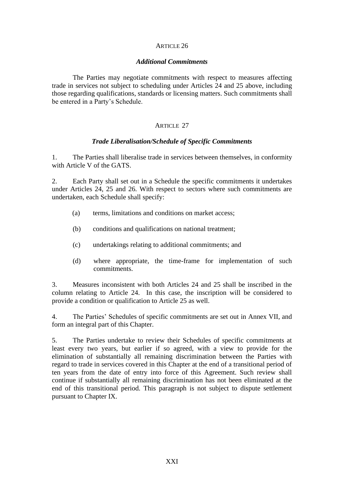#### *Additional Commitments*

The Parties may negotiate commitments with respect to measures affecting trade in services not subject to scheduling under Articles 24 and 25 above, including those regarding qualifications, standards or licensing matters. Such commitments shall be entered in a Party's Schedule.

# ARTICLE  $27$

#### *Trade Liberalisation/Schedule of Specific Commitments*

1. The Parties shall liberalise trade in services between themselves, in conformity with Article V of the GATS.

2. Each Party shall set out in a Schedule the specific commitments it undertakes under Articles 24, 25 and 26. With respect to sectors where such commitments are undertaken, each Schedule shall specify:

- (a) terms, limitations and conditions on market access;
- (b) conditions and qualifications on national treatment;
- (c) undertakings relating to additional commitments; and
- (d) where appropriate, the time-frame for implementation of such commitments.

3. Measures inconsistent with both Articles 24 and 25 shall be inscribed in the column relating to Article 24. In this case, the inscription will be considered to provide a condition or qualification to Article 25 as well.

4. The Parties' Schedules of specific commitments are set out in Annex VII, and form an integral part of this Chapter.

5. The Parties undertake to review their Schedules of specific commitments at least every two years, but earlier if so agreed, with a view to provide for the elimination of substantially all remaining discrimination between the Parties with regard to trade in services covered in this Chapter at the end of a transitional period of ten years from the date of entry into force of this Agreement. Such review shall continue if substantially all remaining discrimination has not been eliminated at the end of this transitional period. This paragraph is not subject to dispute settlement pursuant to Chapter IX.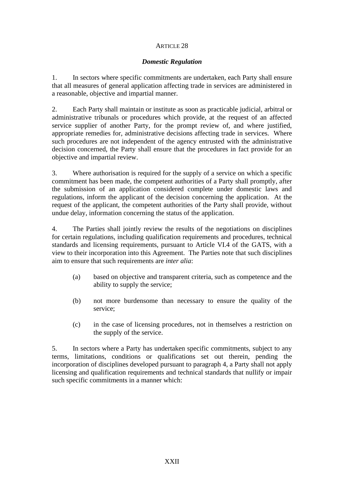# *Domestic Regulation*

1. In sectors where specific commitments are undertaken, each Party shall ensure that all measures of general application affecting trade in services are administered in a reasonable, objective and impartial manner.

2. Each Party shall maintain or institute as soon as practicable judicial, arbitral or administrative tribunals or procedures which provide, at the request of an affected service supplier of another Party, for the prompt review of, and where justified, appropriate remedies for, administrative decisions affecting trade in services. Where such procedures are not independent of the agency entrusted with the administrative decision concerned, the Party shall ensure that the procedures in fact provide for an objective and impartial review.

3. Where authorisation is required for the supply of a service on which a specific commitment has been made, the competent authorities of a Party shall promptly, after the submission of an application considered complete under domestic laws and regulations, inform the applicant of the decision concerning the application. At the request of the applicant, the competent authorities of the Party shall provide, without undue delay, information concerning the status of the application.

4. The Parties shall jointly review the results of the negotiations on disciplines for certain regulations, including qualification requirements and procedures, technical standards and licensing requirements, pursuant to Article VI.4 of the GATS, with a view to their incorporation into this Agreement. The Parties note that such disciplines aim to ensure that such requirements are *inter alia*:

- (a) based on objective and transparent criteria, such as competence and the ability to supply the service;
- (b) not more burdensome than necessary to ensure the quality of the service;
- (c) in the case of licensing procedures, not in themselves a restriction on the supply of the service.

5. In sectors where a Party has undertaken specific commitments, subject to any terms, limitations, conditions or qualifications set out therein, pending the incorporation of disciplines developed pursuant to paragraph 4, a Party shall not apply licensing and qualification requirements and technical standards that nullify or impair such specific commitments in a manner which: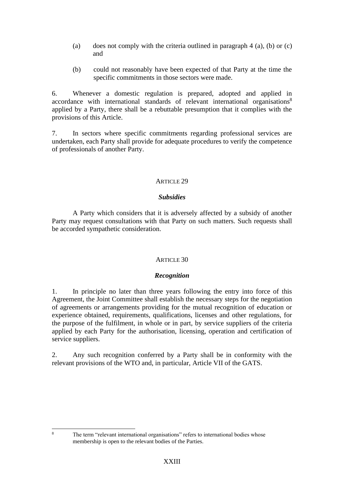- (a) does not comply with the criteria outlined in paragraph  $4$  (a), (b) or (c) and
- (b) could not reasonably have been expected of that Party at the time the specific commitments in those sectors were made.

6. Whenever a domestic regulation is prepared, adopted and applied in accordance with international standards of relevant international organisations<sup>8</sup> applied by a Party, there shall be a rebuttable presumption that it complies with the provisions of this Article.

7. In sectors where specific commitments regarding professional services are undertaken, each Party shall provide for adequate procedures to verify the competence of professionals of another Party.

# ARTICLE 29

# *Subsidies*

A Party which considers that it is adversely affected by a subsidy of another Party may request consultations with that Party on such matters. Such requests shall be accorded sympathetic consideration.

# ARTICLE 30

# *Recognition*

1. In principle no later than three years following the entry into force of this Agreement, the Joint Committee shall establish the necessary steps for the negotiation of agreements or arrangements providing for the mutual recognition of education or experience obtained, requirements, qualifications, licenses and other regulations, for the purpose of the fulfilment, in whole or in part, by service suppliers of the criteria applied by each Party for the authorisation, licensing, operation and certification of service suppliers.

2. Any such recognition conferred by a Party shall be in conformity with the relevant provisions of the WTO and, in particular, Article VII of the GATS.

<sup>&</sup>lt;sup>8</sup> The term "relevant international organisations" refers to international bodies whose membership is open to the relevant bodies of the Parties.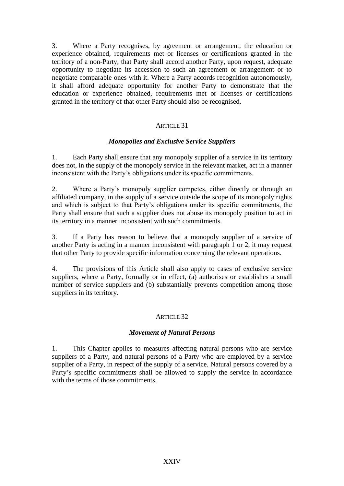3. Where a Party recognises, by agreement or arrangement, the education or experience obtained, requirements met or licenses or certifications granted in the territory of a non-Party, that Party shall accord another Party, upon request, adequate opportunity to negotiate its accession to such an agreement or arrangement or to negotiate comparable ones with it. Where a Party accords recognition autonomously, it shall afford adequate opportunity for another Party to demonstrate that the education or experience obtained, requirements met or licenses or certifications granted in the territory of that other Party should also be recognised.

# $ARTICI$  F 31

## *Monopolies and Exclusive Service Suppliers*

1. Each Party shall ensure that any monopoly supplier of a service in its territory does not, in the supply of the monopoly service in the relevant market, act in a manner inconsistent with the Party's obligations under its specific commitments.

2. Where a Party's monopoly supplier competes, either directly or through an affiliated company, in the supply of a service outside the scope of its monopoly rights and which is subject to that Party's obligations under its specific commitments, the Party shall ensure that such a supplier does not abuse its monopoly position to act in its territory in a manner inconsistent with such commitments.

3. If a Party has reason to believe that a monopoly supplier of a service of another Party is acting in a manner inconsistent with paragraph 1 or 2, it may request that other Party to provide specific information concerning the relevant operations.

4. The provisions of this Article shall also apply to cases of exclusive service suppliers, where a Party, formally or in effect, (a) authorises or establishes a small number of service suppliers and (b) substantially prevents competition among those suppliers in its territory.

## ARTICLE 32

## *Movement of Natural Persons*

1. This Chapter applies to measures affecting natural persons who are service suppliers of a Party, and natural persons of a Party who are employed by a service supplier of a Party, in respect of the supply of a service. Natural persons covered by a Party's specific commitments shall be allowed to supply the service in accordance with the terms of those commitments.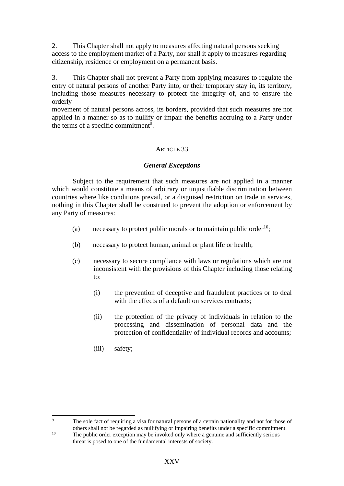2. This Chapter shall not apply to measures affecting natural persons seeking access to the employment market of a Party, nor shall it apply to measures regarding citizenship, residence or employment on a permanent basis.

3. This Chapter shall not prevent a Party from applying measures to regulate the entry of natural persons of another Party into, or their temporary stay in, its territory, including those measures necessary to protect the integrity of, and to ensure the orderly

movement of natural persons across, its borders, provided that such measures are not applied in a manner so as to nullify or impair the benefits accruing to a Party under the terms of a specific commitment<sup>9</sup>.

# ARTICLE 33

# *General Exceptions*

Subject to the requirement that such measures are not applied in a manner which would constitute a means of arbitrary or unjustifiable discrimination between countries where like conditions prevail, or a disguised restriction on trade in services, nothing in this Chapter shall be construed to prevent the adoption or enforcement by any Party of measures:

- (a) necessary to protect public morals or to maintain public order<sup>10</sup>;
- (b) necessary to protect human, animal or plant life or health;
- (c) necessary to secure compliance with laws or regulations which are not inconsistent with the provisions of this Chapter including those relating to:
	- (i) the prevention of deceptive and fraudulent practices or to deal with the effects of a default on services contracts:
	- (ii) the protection of the privacy of individuals in relation to the processing and dissemination of personal data and the protection of confidentiality of individual records and accounts;
	- (iii) safety;

<sup>9</sup> The sole fact of requiring a visa for natural persons of a certain nationality and not for those of others shall not be regarded as nullifying or impairing benefits under a specific commitment. <sup>10</sup> The public order exception may be invoked only where a genuine and sufficiently serious threat is posed to one of the fundamental interests of society.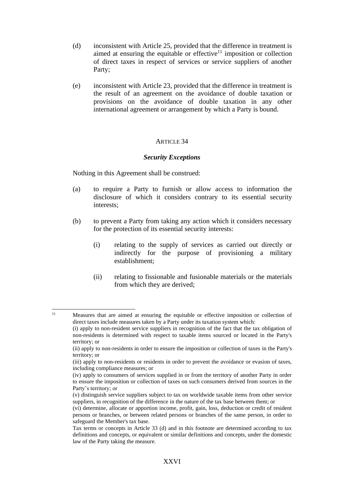- (d) inconsistent with Article 25, provided that the difference in treatment is aimed at ensuring the equitable or effective $1$  imposition or collection of direct taxes in respect of services or service suppliers of another Party;
- (e) inconsistent with Article 23, provided that the difference in treatment is the result of an agreement on the avoidance of double taxation or provisions on the avoidance of double taxation in any other international agreement or arrangement by which a Party is bound.

## *Security Exceptions*

Nothing in this Agreement shall be construed:

- (a) to require a Party to furnish or allow access to information the disclosure of which it considers contrary to its essential security interests;
- (b) to prevent a Party from taking any action which it considers necessary for the protection of its essential security interests:
	- (i) relating to the supply of services as carried out directly or indirectly for the purpose of provisioning a military establishment;
	- (ii) relating to fissionable and fusionable materials or the materials from which they are derived;

<sup>&</sup>lt;sup>11</sup> Measures that are aimed at ensuring the equitable or effective imposition or collection of direct taxes include measures taken by a Party under its taxation system which:

<sup>(</sup>i) apply to non-resident service suppliers in recognition of the fact that the tax obligation of non-residents is determined with respect to taxable items sourced or located in the Party's territory; or

<sup>(</sup>ii) apply to non-residents in order to ensure the imposition or collection of taxes in the Party's territory; or

<sup>(</sup>iii) apply to non-residents or residents in order to prevent the avoidance or evasion of taxes, including compliance measures; or

<sup>(</sup>iv) apply to consumers of services supplied in or from the territory of another Party in order to ensure the imposition or collection of taxes on such consumers derived from sources in the Party's territory; or

<sup>(</sup>v) distinguish service suppliers subject to tax on worldwide taxable items from other service suppliers, in recognition of the difference in the nature of the tax base between them; or

<sup>(</sup>vi) determine, allocate or apportion income, profit, gain, loss, deduction or credit of resident persons or branches, or between related persons or branches of the same person, in order to safeguard the Member's tax base.

Tax terms or concepts in Article 33 (d) and in this footnote are determined according to tax definitions and concepts, or equivalent or similar definitions and concepts, under the domestic law of the Party taking the measure.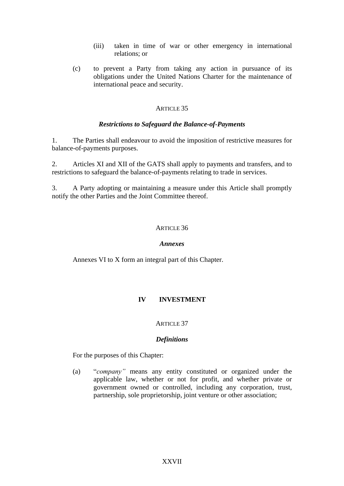- (iii) taken in time of war or other emergency in international relations; or
- (c) to prevent a Party from taking any action in pursuance of its obligations under the United Nations Charter for the maintenance of international peace and security.

#### *Restrictions to Safeguard the Balance-of-Payments*

1. The Parties shall endeavour to avoid the imposition of restrictive measures for balance-of-payments purposes.

2. Articles XI and XII of the GATS shall apply to payments and transfers, and to restrictions to safeguard the balance-of-payments relating to trade in services.

3. A Party adopting or maintaining a measure under this Article shall promptly notify the other Parties and the Joint Committee thereof.

#### ARTICLE 36

#### *Annexes*

Annexes VI to X form an integral part of this Chapter.

#### **IV INVESTMENT**

#### ARTICLE 37

#### *Definitions*

For the purposes of this Chapter:

(a) "*company"* means any entity constituted or organized under the applicable law, whether or not for profit, and whether private or government owned or controlled, including any corporation, trust, partnership, sole proprietorship, joint venture or other association;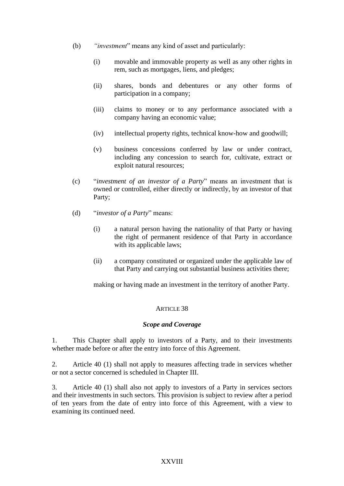- (b) *"investment*" means any kind of asset and particularly:
	- (i) movable and immovable property as well as any other rights in rem, such as mortgages, liens, and pledges;
	- (ii) shares, bonds and debentures or any other forms of participation in a company;
	- (iii) claims to money or to any performance associated with a company having an economic value;
	- (iv) intellectual property rights, technical know-how and goodwill;
	- (v) business concessions conferred by law or under contract, including any concession to search for, cultivate, extract or exploit natural resources;
- (c) "*investment of an investor of a Party*" means an investment that is owned or controlled, either directly or indirectly, by an investor of that Party;
- (d) "*investor of a Party*" means:
	- (i) a natural person having the nationality of that Party or having the right of permanent residence of that Party in accordance with its applicable laws;
	- (ii) a company constituted or organized under the applicable law of that Party and carrying out substantial business activities there;

making or having made an investment in the territory of another Party.

## **ARTICLE 38**

## *Scope and Coverage*

1. This Chapter shall apply to investors of a Party, and to their investments whether made before or after the entry into force of this Agreement.

2. Article 40 (1) shall not apply to measures affecting trade in services whether or not a sector concerned is scheduled in Chapter III.

3. Article 40 (1) shall also not apply to investors of a Party in services sectors and their investments in such sectors. This provision is subject to review after a period of ten years from the date of entry into force of this Agreement, with a view to examining its continued need.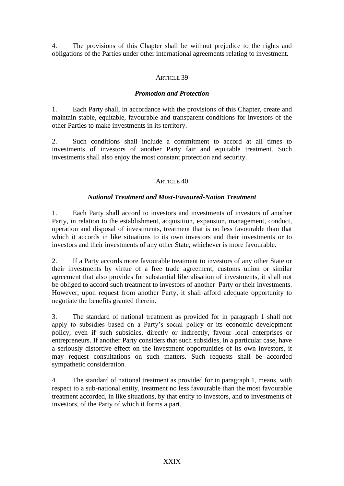4. The provisions of this Chapter shall be without prejudice to the rights and obligations of the Parties under other international agreements relating to investment.

# ARTICLE 39

# *Promotion and Protection*

1. Each Party shall, in accordance with the provisions of this Chapter, create and maintain stable, equitable, favourable and transparent conditions for investors of the other Parties to make investments in its territory.

2. Such conditions shall include a commitment to accord at all times to investments of investors of another Party fair and equitable treatment. Such investments shall also enjoy the most constant protection and security.

# ARTICLE 40

# *National Treatment and Most-Favoured-Nation Treatment*

1. Each Party shall accord to investors and investments of investors of another Party, in relation to the establishment, acquisition, expansion, management, conduct, operation and disposal of investments, treatment that is no less favourable than that which it accords in like situations to its own investors and their investments or to investors and their investments of any other State, whichever is more favourable.

2. If a Party accords more favourable treatment to investors of any other State or their investments by virtue of a free trade agreement, customs union or similar agreement that also provides for substantial liberalisation of investments, it shall not be obliged to accord such treatment to investors of another Party or their investments. However, upon request from another Party, it shall afford adequate opportunity to negotiate the benefits granted therein.

3. The standard of national treatment as provided for in paragraph 1 shall not apply to subsidies based on a Party's social policy or its economic development policy, even if such subsidies, directly or indirectly, favour local enterprises or entrepreneurs. If another Party considers that such subsidies, in a particular case, have a seriously distortive effect on the investment opportunities of its own investors, it may request consultations on such matters. Such requests shall be accorded sympathetic consideration.

4. The standard of national treatment as provided for in paragraph 1, means, with respect to a sub-national entity, treatment no less favourable than the most favourable treatment accorded, in like situations, by that entity to investors, and to investments of investors, of the Party of which it forms a part.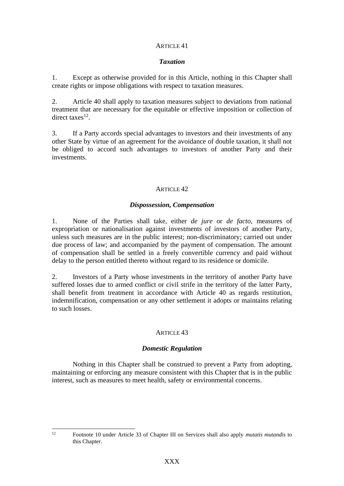# *Taxation*

1. Except as otherwise provided for in this Article, nothing in this Chapter shall create rights or impose obligations with respect to taxation measures.

2. Article 40 shall apply to taxation measures subject to deviations from national treatment that are necessary for the equitable or effective imposition or collection of direct taxes $^{12}$ .

3. If a Party accords special advantages to investors and their investments of any other State by virtue of an agreement for the avoidance of double taxation, it shall not be obliged to accord such advantages to investors of another Party and their investments.

# ARTICLE  $42$

# *Dispossession, Compensation*

1. None of the Parties shall take, either *de jure* or *de facto*, measures of expropriation or nationalisation against investments of investors of another Party, unless such measures are in the public interest; non-discriminatory; carried out under due process of law; and accompanied by the payment of compensation. The amount of compensation shall be settled in a freely convertible currency and paid without delay to the person entitled thereto without regard to its residence or domicile.

2. Investors of a Party whose investments in the territory of another Party have suffered losses due to armed conflict or civil strife in the territory of the latter Party, shall benefit from treatment in accordance with Article 40 as regards restitution, indemnification, compensation or any other settlement it adopts or maintains relating to such losses.

## ARTICLE 43

# *Domestic Regulation*

Nothing in this Chapter shall be construed to prevent a Party from adopting, maintaining or enforcing any measure consistent with this Chapter that is in the public interest, such as measures to meet health, safety or environmental concerns.

<sup>12</sup> Footnote 10 under Article 33 of Chapter III on Services shall also apply *mutatis mutandis* to this Chapter.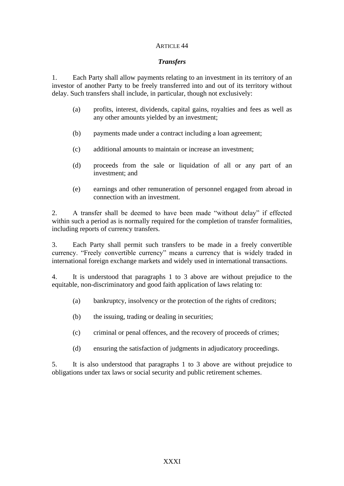# *Transfers*

1. Each Party shall allow payments relating to an investment in its territory of an investor of another Party to be freely transferred into and out of its territory without delay. Such transfers shall include, in particular, though not exclusively:

- (a) profits, interest, dividends, capital gains, royalties and fees as well as any other amounts yielded by an investment;
- (b) payments made under a contract including a loan agreement;
- (c) additional amounts to maintain or increase an investment;
- (d) proceeds from the sale or liquidation of all or any part of an investment; and
- (e) earnings and other remuneration of personnel engaged from abroad in connection with an investment.

2. A transfer shall be deemed to have been made "without delay" if effected within such a period as is normally required for the completion of transfer formalities, including reports of currency transfers.

3. Each Party shall permit such transfers to be made in a freely convertible currency. "Freely convertible currency" means a currency that is widely traded in international foreign exchange markets and widely used in international transactions.

4. It is understood that paragraphs 1 to 3 above are without prejudice to the equitable, non-discriminatory and good faith application of laws relating to:

- (a) bankruptcy, insolvency or the protection of the rights of creditors;
- (b) the issuing, trading or dealing in securities;
- (c) criminal or penal offences, and the recovery of proceeds of crimes;
- (d) ensuring the satisfaction of judgments in adjudicatory proceedings.

5. It is also understood that paragraphs 1 to 3 above are without prejudice to obligations under tax laws or social security and public retirement schemes.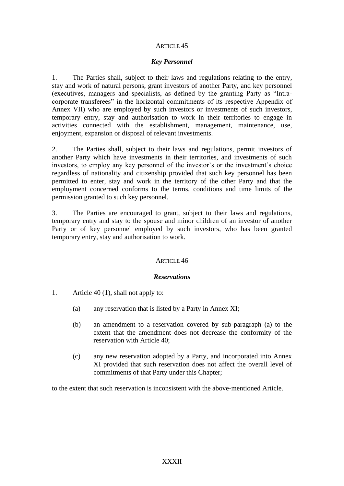# *Key Personnel*

1. The Parties shall, subject to their laws and regulations relating to the entry, stay and work of natural persons, grant investors of another Party, and key personnel (executives, managers and specialists, as defined by the granting Party as "Intracorporate transferees" in the horizontal commitments of its respective Appendix of Annex VII) who are employed by such investors or investments of such investors, temporary entry, stay and authorisation to work in their territories to engage in activities connected with the establishment, management, maintenance, use, enjoyment, expansion or disposal of relevant investments.

2. The Parties shall, subject to their laws and regulations, permit investors of another Party which have investments in their territories, and investments of such investors, to employ any key personnel of the investor's or the investment's choice regardless of nationality and citizenship provided that such key personnel has been permitted to enter, stay and work in the territory of the other Party and that the employment concerned conforms to the terms, conditions and time limits of the permission granted to such key personnel.

3. The Parties are encouraged to grant, subject to their laws and regulations, temporary entry and stay to the spouse and minor children of an investor of another Party or of key personnel employed by such investors, who has been granted temporary entry, stay and authorisation to work.

## ARTICLE 46

## *Reservations*

- 1. Article 40 (1), shall not apply to:
	- (a) any reservation that is listed by a Party in Annex XI;
	- (b) an amendment to a reservation covered by sub-paragraph (a) to the extent that the amendment does not decrease the conformity of the reservation with Article 40;
	- (c) any new reservation adopted by a Party, and incorporated into Annex XI provided that such reservation does not affect the overall level of commitments of that Party under this Chapter;

to the extent that such reservation is inconsistent with the above-mentioned Article.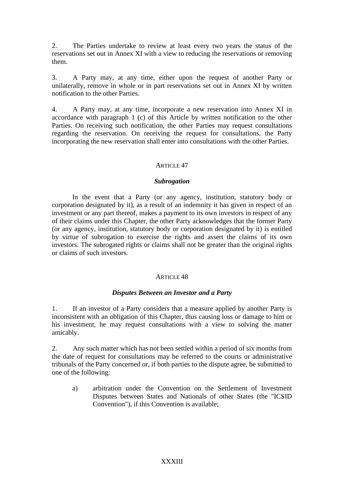2. The Parties undertake to review at least every two years the status of the reservations set out in Annex XI with a view to reducing the reservations or removing them.

3. A Party may, at any time, either upon the request of another Party or unilaterally, remove in whole or in part reservations set out in Annex XI by written notification to the other Parties.

4. A Party may, at any time, incorporate a new reservation into Annex XI in accordance with paragraph 1 (c) of this Article by written notification to the other Parties. On receiving such notification, the other Parties may request consultations regarding the reservation. On receiving the request for consultations, the Party incorporating the new reservation shall enter into consultations with the other Parties.

#### ARTICLE 47

#### *Subrogation*

In the event that a Party (or any agency, institution, statutory body or corporation designated by it), as a result of an indemnity it has given in respect of an investment or any part thereof, makes a payment to its own investors in respect of any of their claims under this Chapter, the other Party acknowledges that the former Party (or any agency, institution, statutory body or corporation designated by it) is entitled by virtue of subrogation to exercise the rights and assert the claims of its own investors. The subrogated rights or claims shall not be greater than the original rights or claims of such investors.

#### ARTICLE 48

## *Disputes Between an Investor and a Party*

1. If an investor of a Party considers that a measure applied by another Party is inconsistent with an obligation of this Chapter, thus causing loss or damage to him or his investment, he may request consultations with a view to solving the matter amicably.

2. Any such matter which has not been settled within a period of six months from the date of request for consultations may be referred to the courts or administrative tribunals of the Party concerned or, if both parties to the dispute agree, be submitted to one of the following:

a) arbitration under the Convention on the Settlement of Investment Disputes between States and Nationals of other States (the "ICSID Convention"), if this Convention is available;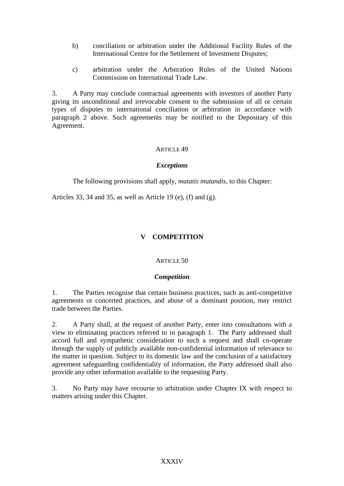- b) conciliation or arbitration under the Additional Facility Rules of the International Centre for the Settlement of Investment Disputes;
- c) arbitration under the Arbitration Rules of the United Nations Commission on International Trade Law.

3. A Party may conclude contractual agreements with investors of another Party giving its unconditional and irrevocable consent to the submission of all or certain types of disputes to international conciliation or arbitration in accordance with paragraph 2 above. Such agreements may be notified to the Depositary of this Agreement.

#### ARTICLE 49

#### *Exceptions*

The following provisions shall apply, *mutatis mutandis*, to this Chapter:

Articles 33, 34 and 35, as well as Article 19 (e), (f) and (g).

## **V COMPETITION**

#### ARTICLE 50

#### *Competition*

1. The Parties recognise that certain business practices, such as anti-competitive agreements or concerted practices, and abuse of a dominant position, may restrict trade between the Parties.

2. A Party shall, at the request of another Party, enter into consultations with a view to eliminating practices referred to in paragraph 1. The Party addressed shall accord full and sympathetic consideration to such a request and shall co-operate through the supply of publicly available non-confidential information of relevance to the matter in question. Subject to its domestic law and the conclusion of a satisfactory agreement safeguarding confidentiality of information, the Party addressed shall also provide any other information available to the requesting Party.

3. No Party may have recourse to arbitration under Chapter IX with respect to matters arising under this Chapter.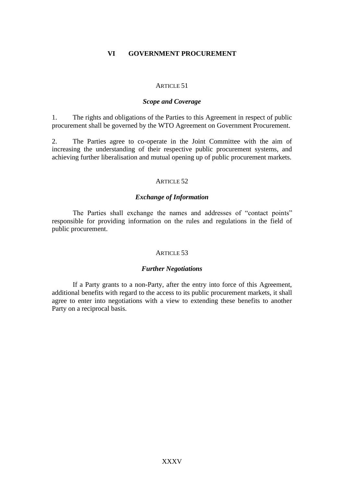#### **VI GOVERNMENT PROCUREMENT**

#### ARTICLE 51

#### *Scope and Coverage*

1. The rights and obligations of the Parties to this Agreement in respect of public procurement shall be governed by the WTO Agreement on Government Procurement.

2. The Parties agree to co-operate in the Joint Committee with the aim of increasing the understanding of their respective public procurement systems, and achieving further liberalisation and mutual opening up of public procurement markets.

#### ARTICLE 52

#### *Exchange of Information*

The Parties shall exchange the names and addresses of "contact points" responsible for providing information on the rules and regulations in the field of public procurement.

#### ARTICLE 53

#### *Further Negotiations*

If a Party grants to a non-Party, after the entry into force of this Agreement, additional benefits with regard to the access to its public procurement markets, it shall agree to enter into negotiations with a view to extending these benefits to another Party on a reciprocal basis.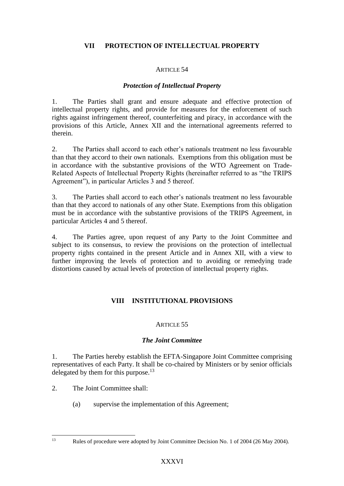# **VII PROTECTION OF INTELLECTUAL PROPERTY**

# ARTICLE 54

# *Protection of Intellectual Property*

1. The Parties shall grant and ensure adequate and effective protection of intellectual property rights, and provide for measures for the enforcement of such rights against infringement thereof, counterfeiting and piracy, in accordance with the provisions of this Article, Annex XII and the international agreements referred to therein.

2. The Parties shall accord to each other's nationals treatment no less favourable than that they accord to their own nationals. Exemptions from this obligation must be in accordance with the substantive provisions of the WTO Agreement on Trade-Related Aspects of Intellectual Property Rights (hereinafter referred to as "the TRIPS Agreement"), in particular Articles 3 and 5 thereof.

3. The Parties shall accord to each other's nationals treatment no less favourable than that they accord to nationals of any other State. Exemptions from this obligation must be in accordance with the substantive provisions of the TRIPS Agreement, in particular Articles 4 and 5 thereof.

4. The Parties agree, upon request of any Party to the Joint Committee and subject to its consensus, to review the provisions on the protection of intellectual property rights contained in the present Article and in Annex XII, with a view to further improving the levels of protection and to avoiding or remedying trade distortions caused by actual levels of protection of intellectual property rights.

# **VIII INSTITUTIONAL PROVISIONS**

## ARTICLE 55

# *The Joint Committee*

1. The Parties hereby establish the EFTA-Singapore Joint Committee comprising representatives of each Party. It shall be co-chaired by Ministers or by senior officials delegated by them for this purpose. $13$ 

2. The Joint Committee shall:

(a) supervise the implementation of this Agreement;

<sup>&</sup>lt;sup>13</sup> Rules of procedure were adopted by Joint Committee Decision No. 1 of 2004 (26 May 2004).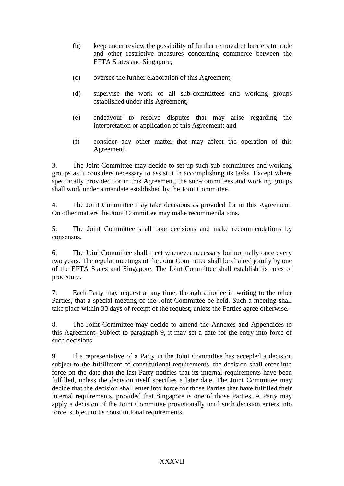- (b) keep under review the possibility of further removal of barriers to trade and other restrictive measures concerning commerce between the EFTA States and Singapore;
- (c) oversee the further elaboration of this Agreement;
- (d) supervise the work of all sub-committees and working groups established under this Agreement;
- (e) endeavour to resolve disputes that may arise regarding the interpretation or application of this Agreement; and
- (f) consider any other matter that may affect the operation of this Agreement.

3. The Joint Committee may decide to set up such sub-committees and working groups as it considers necessary to assist it in accomplishing its tasks. Except where specifically provided for in this Agreement, the sub-committees and working groups shall work under a mandate established by the Joint Committee.

4. The Joint Committee may take decisions as provided for in this Agreement. On other matters the Joint Committee may make recommendations.

5. The Joint Committee shall take decisions and make recommendations by consensus.

6. The Joint Committee shall meet whenever necessary but normally once every two years. The regular meetings of the Joint Committee shall be chaired jointly by one of the EFTA States and Singapore. The Joint Committee shall establish its rules of procedure.

7. Each Party may request at any time, through a notice in writing to the other Parties, that a special meeting of the Joint Committee be held. Such a meeting shall take place within 30 days of receipt of the request, unless the Parties agree otherwise.

8. The Joint Committee may decide to amend the Annexes and Appendices to this Agreement. Subject to paragraph 9, it may set a date for the entry into force of such decisions.

9. If a representative of a Party in the Joint Committee has accepted a decision subject to the fulfillment of constitutional requirements, the decision shall enter into force on the date that the last Party notifies that its internal requirements have been fulfilled, unless the decision itself specifies a later date. The Joint Committee may decide that the decision shall enter into force for those Parties that have fulfilled their internal requirements, provided that Singapore is one of those Parties. A Party may apply a decision of the Joint Committee provisionally until such decision enters into force, subject to its constitutional requirements.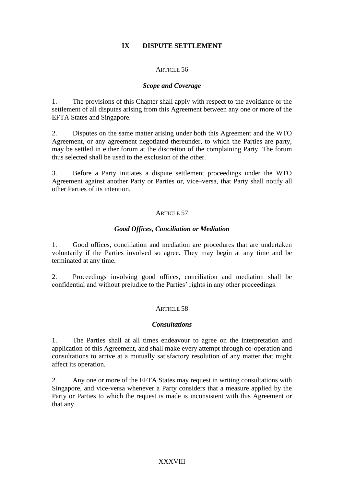# **IX DISPUTE SETTLEMENT**

# ARTICLE 56

# *Scope and Coverage*

1. The provisions of this Chapter shall apply with respect to the avoidance or the settlement of all disputes arising from this Agreement between any one or more of the EFTA States and Singapore.

2. Disputes on the same matter arising under both this Agreement and the WTO Agreement, or any agreement negotiated thereunder, to which the Parties are party, may be settled in either forum at the discretion of the complaining Party. The forum thus selected shall be used to the exclusion of the other.

3. Before a Party initiates a dispute settlement proceedings under the WTO Agreement against another Party or Parties or, vice–versa, that Party shall notify all other Parties of its intention.

# ARTICLE 57

## *Good Offices, Conciliation or Mediation*

1. Good offices, conciliation and mediation are procedures that are undertaken voluntarily if the Parties involved so agree. They may begin at any time and be terminated at any time.

2. Proceedings involving good offices, conciliation and mediation shall be confidential and without prejudice to the Parties' rights in any other proceedings.

## $APTICI$  F 58

## *Consultations*

1. The Parties shall at all times endeavour to agree on the interpretation and application of this Agreement, and shall make every attempt through co-operation and consultations to arrive at a mutually satisfactory resolution of any matter that might affect its operation.

2. Any one or more of the EFTA States may request in writing consultations with Singapore, and vice-versa whenever a Party considers that a measure applied by the Party or Parties to which the request is made is inconsistent with this Agreement or that any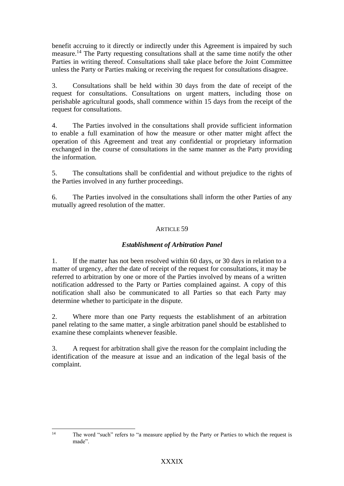benefit accruing to it directly or indirectly under this Agreement is impaired by such measure.<sup>14</sup> The Party requesting consultations shall at the same time notify the other Parties in writing thereof. Consultations shall take place before the Joint Committee unless the Party or Parties making or receiving the request for consultations disagree.

3. Consultations shall be held within 30 days from the date of receipt of the request for consultations. Consultations on urgent matters, including those on perishable agricultural goods, shall commence within 15 days from the receipt of the request for consultations.

4. The Parties involved in the consultations shall provide sufficient information to enable a full examination of how the measure or other matter might affect the operation of this Agreement and treat any confidential or proprietary information exchanged in the course of consultations in the same manner as the Party providing the information.

5. The consultations shall be confidential and without prejudice to the rights of the Parties involved in any further proceedings.

6. The Parties involved in the consultations shall inform the other Parties of any mutually agreed resolution of the matter.

# **ARTICLE 59**

# *Establishment of Arbitration Panel*

1. If the matter has not been resolved within 60 days, or 30 days in relation to a matter of urgency, after the date of receipt of the request for consultations, it may be referred to arbitration by one or more of the Parties involved by means of a written notification addressed to the Party or Parties complained against. A copy of this notification shall also be communicated to all Parties so that each Party may determine whether to participate in the dispute.

2. Where more than one Party requests the establishment of an arbitration panel relating to the same matter, a single arbitration panel should be established to examine these complaints whenever feasible.

3. A request for arbitration shall give the reason for the complaint including the identification of the measure at issue and an indication of the legal basis of the complaint.

<sup>&</sup>lt;sup>14</sup> The word "such" refers to "a measure applied by the Party or Parties to which the request is made".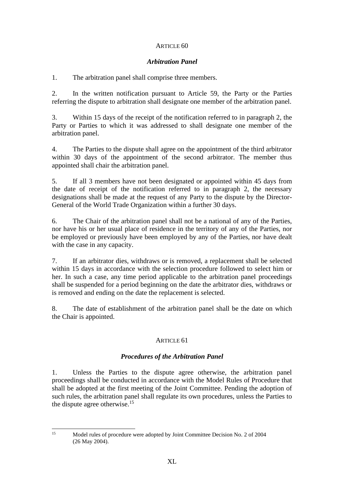# *Arbitration Panel*

1. The arbitration panel shall comprise three members.

2. In the written notification pursuant to Article 59, the Party or the Parties referring the dispute to arbitration shall designate one member of the arbitration panel.

3. Within 15 days of the receipt of the notification referred to in paragraph 2, the Party or Parties to which it was addressed to shall designate one member of the arbitration panel.

4. The Parties to the dispute shall agree on the appointment of the third arbitrator within 30 days of the appointment of the second arbitrator. The member thus appointed shall chair the arbitration panel.

5. If all 3 members have not been designated or appointed within 45 days from the date of receipt of the notification referred to in paragraph 2, the necessary designations shall be made at the request of any Party to the dispute by the Director-General of the World Trade Organization within a further 30 days.

6. The Chair of the arbitration panel shall not be a national of any of the Parties, nor have his or her usual place of residence in the territory of any of the Parties, nor be employed or previously have been employed by any of the Parties, nor have dealt with the case in any capacity.

7. If an arbitrator dies, withdraws or is removed, a replacement shall be selected within 15 days in accordance with the selection procedure followed to select him or her. In such a case, any time period applicable to the arbitration panel proceedings shall be suspended for a period beginning on the date the arbitrator dies, withdraws or is removed and ending on the date the replacement is selected.

8. The date of establishment of the arbitration panel shall be the date on which the Chair is appointed.

# ARTICLE 61

# *Procedures of the Arbitration Panel*

1. Unless the Parties to the dispute agree otherwise, the arbitration panel proceedings shall be conducted in accordance with the Model Rules of Procedure that shall be adopted at the first meeting of the Joint Committee. Pending the adoption of such rules, the arbitration panel shall regulate its own procedures, unless the Parties to the dispute agree otherwise.<sup>15</sup>

<sup>&</sup>lt;sup>15</sup> Model rules of procedure were adopted by Joint Committee Decision No. 2 of 2004 (26 May 2004).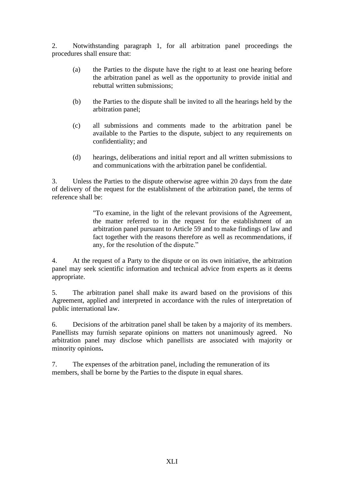2. Notwithstanding paragraph 1, for all arbitration panel proceedings the procedures shall ensure that:

- (a) the Parties to the dispute have the right to at least one hearing before the arbitration panel as well as the opportunity to provide initial and rebuttal written submissions;
- (b) the Parties to the dispute shall be invited to all the hearings held by the arbitration panel;
- (c) all submissions and comments made to the arbitration panel be available to the Parties to the dispute, subject to any requirements on confidentiality; and
- (d) hearings, deliberations and initial report and all written submissions to and communications with the arbitration panel be confidential.

3. Unless the Parties to the dispute otherwise agree within 20 days from the date of delivery of the request for the establishment of the arbitration panel, the terms of reference shall be:

> "To examine, in the light of the relevant provisions of the Agreement, the matter referred to in the request for the establishment of an arbitration panel pursuant to Article 59 and to make findings of law and fact together with the reasons therefore as well as recommendations, if any, for the resolution of the dispute."

4. At the request of a Party to the dispute or on its own initiative, the arbitration panel may seek scientific information and technical advice from experts as it deems appropriate.

5. The arbitration panel shall make its award based on the provisions of this Agreement, applied and interpreted in accordance with the rules of interpretation of public international law.

6. Decisions of the arbitration panel shall be taken by a majority of its members. Panellists may furnish separate opinions on matters not unanimously agreed. No arbitration panel may disclose which panellists are associated with majority or minority opinions**.**

7. The expenses of the arbitration panel, including the remuneration of its members, shall be borne by the Parties to the dispute in equal shares.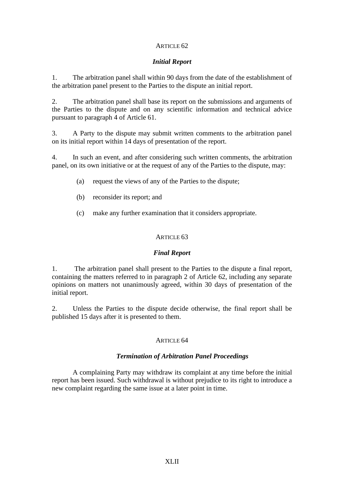# *Initial Report*

1. The arbitration panel shall within 90 days from the date of the establishment of the arbitration panel present to the Parties to the dispute an initial report.

2. The arbitration panel shall base its report on the submissions and arguments of the Parties to the dispute and on any scientific information and technical advice pursuant to paragraph 4 of Article 61.

3. A Party to the dispute may submit written comments to the arbitration panel on its initial report within 14 days of presentation of the report.

4. In such an event, and after considering such written comments, the arbitration panel, on its own initiative or at the request of any of the Parties to the dispute, may:

- (a) request the views of any of the Parties to the dispute;
- (b) reconsider its report; and
- (c) make any further examination that it considers appropriate.

## ARTICLE 63

## *Final Report*

1. The arbitration panel shall present to the Parties to the dispute a final report, containing the matters referred to in paragraph 2 of Article 62, including any separate opinions on matters not unanimously agreed, within 30 days of presentation of the initial report.

2. Unless the Parties to the dispute decide otherwise, the final report shall be published 15 days after it is presented to them.

# ARTICLE 64

# *Termination of Arbitration Panel Proceedings*

A complaining Party may withdraw its complaint at any time before the initial report has been issued. Such withdrawal is without prejudice to its right to introduce a new complaint regarding the same issue at a later point in time.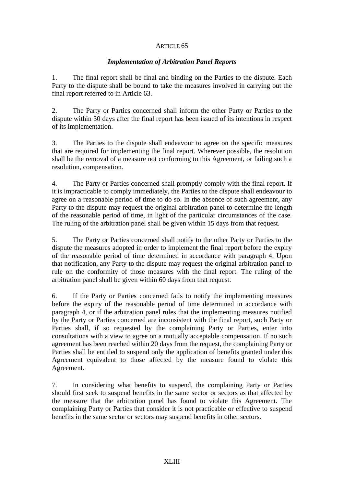# *Implementation of Arbitration Panel Reports*

1. The final report shall be final and binding on the Parties to the dispute. Each Party to the dispute shall be bound to take the measures involved in carrying out the final report referred to in Article 63.

2. The Party or Parties concerned shall inform the other Party or Parties to the dispute within 30 days after the final report has been issued of its intentions in respect of its implementation.

3. The Parties to the dispute shall endeavour to agree on the specific measures that are required for implementing the final report. Wherever possible, the resolution shall be the removal of a measure not conforming to this Agreement, or failing such a resolution, compensation.

4. The Party or Parties concerned shall promptly comply with the final report. If it is impracticable to comply immediately, the Parties to the dispute shall endeavour to agree on a reasonable period of time to do so. In the absence of such agreement, any Party to the dispute may request the original arbitration panel to determine the length of the reasonable period of time, in light of the particular circumstances of the case. The ruling of the arbitration panel shall be given within 15 days from that request.

5. The Party or Parties concerned shall notify to the other Party or Parties to the dispute the measures adopted in order to implement the final report before the expiry of the reasonable period of time determined in accordance with paragraph 4. Upon that notification, any Party to the dispute may request the original arbitration panel to rule on the conformity of those measures with the final report. The ruling of the arbitration panel shall be given within 60 days from that request.

6. If the Party or Parties concerned fails to notify the implementing measures before the expiry of the reasonable period of time determined in accordance with paragraph 4, or if the arbitration panel rules that the implementing measures notified by the Party or Parties concerned are inconsistent with the final report, such Party or Parties shall, if so requested by the complaining Party or Parties, enter into consultations with a view to agree on a mutually acceptable compensation. If no such agreement has been reached within 20 days from the request, the complaining Party or Parties shall be entitled to suspend only the application of benefits granted under this Agreement equivalent to those affected by the measure found to violate this Agreement.

7. In considering what benefits to suspend, the complaining Party or Parties should first seek to suspend benefits in the same sector or sectors as that affected by the measure that the arbitration panel has found to violate this Agreement. The complaining Party or Parties that consider it is not practicable or effective to suspend benefits in the same sector or sectors may suspend benefits in other sectors.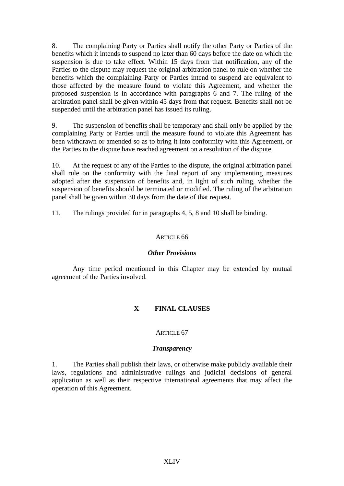8. The complaining Party or Parties shall notify the other Party or Parties of the benefits which it intends to suspend no later than 60 days before the date on which the suspension is due to take effect. Within 15 days from that notification, any of the Parties to the dispute may request the original arbitration panel to rule on whether the benefits which the complaining Party or Parties intend to suspend are equivalent to those affected by the measure found to violate this Agreement, and whether the proposed suspension is in accordance with paragraphs 6 and 7. The ruling of the arbitration panel shall be given within 45 days from that request. Benefits shall not be suspended until the arbitration panel has issued its ruling.

9. The suspension of benefits shall be temporary and shall only be applied by the complaining Party or Parties until the measure found to violate this Agreement has been withdrawn or amended so as to bring it into conformity with this Agreement, or the Parties to the dispute have reached agreement on a resolution of the dispute.

10. At the request of any of the Parties to the dispute, the original arbitration panel shall rule on the conformity with the final report of any implementing measures adopted after the suspension of benefits and, in light of such ruling, whether the suspension of benefits should be terminated or modified. The ruling of the arbitration panel shall be given within 30 days from the date of that request.

11. The rulings provided for in paragraphs 4, 5, 8 and 10 shall be binding.

### ARTICLE 66

## *Other Provisions*

Any time period mentioned in this Chapter may be extended by mutual agreement of the Parties involved.

# **X FINAL CLAUSES**

## ARTICLE 67

## *Transparency*

1. The Parties shall publish their laws, or otherwise make publicly available their laws, regulations and administrative rulings and judicial decisions of general application as well as their respective international agreements that may affect the operation of this Agreement.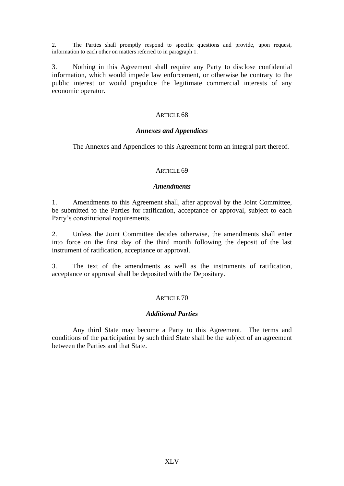2. The Parties shall promptly respond to specific questions and provide, upon request, information to each other on matters referred to in paragraph 1.

3. Nothing in this Agreement shall require any Party to disclose confidential information, which would impede law enforcement, or otherwise be contrary to the public interest or would prejudice the legitimate commercial interests of any economic operator.

#### ARTICLE 68

#### *Annexes and Appendices*

The Annexes and Appendices to this Agreement form an integral part thereof.

#### $ARTICLE 69$

#### *Amendments*

1. Amendments to this Agreement shall, after approval by the Joint Committee, be submitted to the Parties for ratification, acceptance or approval, subject to each Party's constitutional requirements.

2. Unless the Joint Committee decides otherwise, the amendments shall enter into force on the first day of the third month following the deposit of the last instrument of ratification, acceptance or approval.

3. The text of the amendments as well as the instruments of ratification, acceptance or approval shall be deposited with the Depositary.

## ARTICLE 70

## *Additional Parties*

Any third State may become a Party to this Agreement. The terms and conditions of the participation by such third State shall be the subject of an agreement between the Parties and that State.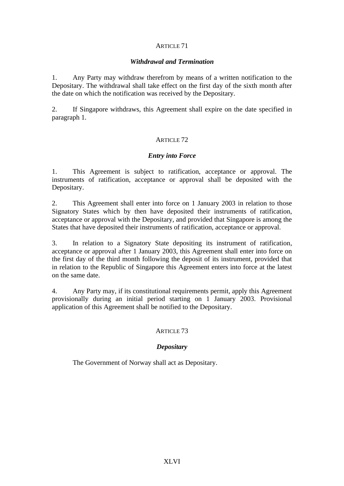## *Withdrawal and Termination*

1. Any Party may withdraw therefrom by means of a written notification to the Depositary. The withdrawal shall take effect on the first day of the sixth month after the date on which the notification was received by the Depositary.

2. If Singapore withdraws, this Agreement shall expire on the date specified in paragraph 1.

# ARTICLE 72

# *Entry into Force*

1. This Agreement is subject to ratification, acceptance or approval. The instruments of ratification, acceptance or approval shall be deposited with the Depositary.

2. This Agreement shall enter into force on 1 January 2003 in relation to those Signatory States which by then have deposited their instruments of ratification, acceptance or approval with the Depositary, and provided that Singapore is among the States that have deposited their instruments of ratification, acceptance or approval.

3. In relation to a Signatory State depositing its instrument of ratification, acceptance or approval after 1 January 2003, this Agreement shall enter into force on the first day of the third month following the deposit of its instrument, provided that in relation to the Republic of Singapore this Agreement enters into force at the latest on the same date.

4. Any Party may, if its constitutional requirements permit, apply this Agreement provisionally during an initial period starting on 1 January 2003. Provisional application of this Agreement shall be notified to the Depositary.

# ARTICLE 73

# *Depositary*

The Government of Norway shall act as Depositary.